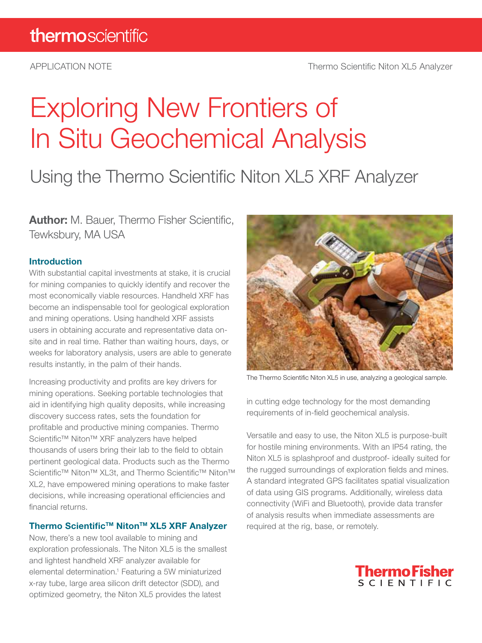# Exploring New Frontiers of In Situ Geochemical Analysis

## Using the Thermo Scientific Niton XL5 XRF Analyzer

**Author:** M. Bauer, Thermo Fisher Scientific, Tewksbury, MA USA

#### **Introduction**

With substantial capital investments at stake, it is crucial for mining companies to quickly identify and recover the most economically viable resources. Handheld XRF has become an indispensable tool for geological exploration and mining operations. Using handheld XRF assists users in obtaining accurate and representative data onsite and in real time. Rather than waiting hours, days, or weeks for laboratory analysis, users are able to generate results instantly, in the palm of their hands.

Increasing productivity and profits are key drivers for mining operations. Seeking portable technologies that aid in identifying high quality deposits, while increasing discovery success rates, sets the foundation for profitable and productive mining companies. Thermo Scientific™ Niton™ XRF analyzers have helped thousands of users bring their lab to the field to obtain pertinent geological data. Products such as the Thermo Scientific™ Niton™ XL3t, and Thermo Scientific™ Niton™ XL2, have empowered mining operations to make faster decisions, while increasing operational efficiencies and financial returns.

#### **Thermo ScientificTM NitonTM XL5 XRF Analyzer**

Now, there's a new tool available to mining and exploration professionals. The Niton XL5 is the smallest and lightest handheld XRF analyzer available for elemental determination.1 Featuring a 5W miniaturized x-ray tube, large area silicon drift detector (SDD), and optimized geometry, the Niton XL5 provides the latest



The Thermo Scientific Niton XL5 in use, analyzing a geological sample.

in cutting edge technology for the most demanding requirements of in-field geochemical analysis.

Versatile and easy to use, the Niton XL5 is purpose-built for hostile mining environments. With an IP54 rating, the Niton XL5 is splashproof and dustproof- ideally suited for the rugged surroundings of exploration fields and mines. A standard integrated GPS facilitates spatial visualization of data using GIS programs. Additionally, wireless data connectivity (WiFi and Bluetooth), provide data transfer of analysis results when immediate assessments are required at the rig, base, or remotely.

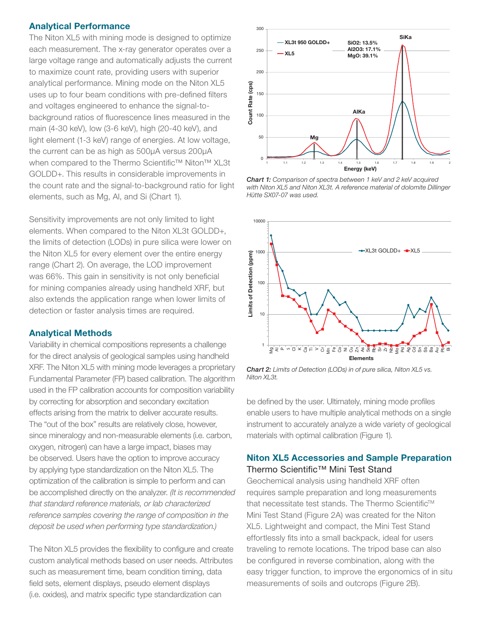#### **Analytical Performance**

The Niton XL5 with mining mode is designed to optimize each measurement. The x-ray generator operates over a large voltage range and automatically adjusts the current to maximize count rate, providing users with superior analytical performance. Mining mode on the Niton XL5 uses up to four beam conditions with pre-defined filters and voltages engineered to enhance the signal-tobackground ratios of fluorescence lines measured in the main (4-30 keV), low (3-6 keV), high (20-40 keV), and light element (1-3 keV) range of energies. At low voltage, the current can be as high as 500μA versus 200μA when compared to the Thermo Scientific<sup>™</sup> Niton<sup>™</sup> XL3t GOLDD+. This results in considerable improvements in the count rate and the signal-to-background ratio for light elements, such as Mg, Al, and Si (Chart 1).

Sensitivity improvements are not only limited to light elements. When compared to the Niton XL3t GOLDD+, the limits of detection (LODs) in pure silica were lower on the Niton XL5 for every element over the entire energy range (Chart 2). On average, the LOD improvement was 66%. This gain in sensitivity is not only beneficial for mining companies already using handheld XRF, but also extends the application range when lower limits of detection or faster analysis times are required.

#### **Analytical Methods**

Variability in chemical compositions represents a challenge for the direct analysis of geological samples using handheld XRF. The Niton XL5 with mining mode leverages a proprietary Fundamental Parameter (FP) based calibration. The algorithm used in the FP calibration accounts for composition variability by correcting for absorption and secondary excitation effects arising from the matrix to deliver accurate results. The "out of the box" results are relatively close, however, since mineralogy and non-measurable elements (i.e. carbon, oxygen, nitrogen) can have a large impact, biases may be observed. Users have the option to improve accuracy by applying type standardization on the Niton XL5. The optimization of the calibration is simple to perform and can be accomplished directly on the analyzer. (It is recommended that standard reference materials, or lab characterized reference samples covering the range of composition in the deposit be used when performing type standardization.)

The Niton XL5 provides the flexibility to configure and create custom analytical methods based on user needs. Attributes such as measurement time, beam condition timing, data field sets, element displays, pseudo element displays (i.e. oxides), and matrix specific type standardization can



**Chart 1:** Comparison of spectra between 1 keV and 2 keV acquired<br>with Niton XL5 and Niton XL3t. A reference material of dolomite Dillinger Hütte SX07-07 was used.



Chart 2: Limits of Detection (LODs) in of pure silica, Niton XL5 vs. Niton XL3t.

be defined by the user. Ultimately, mining mode profiles enable users to have multiple analytical methods on a single instrument to accurately analyze a wide variety of geological materials with optimal calibration (Figure 1).

#### **Niton XL5 Accessories and Sample Preparation**  Thermo Scientific™ Mini Test Stand

Geochemical analysis using handheld XRF often requires sample preparation and long measurements that necessitate test stands. The Thermo Scientific<sup>™</sup> Mini Test Stand (Figure 2A) was created for the Niton XL5. Lightweight and compact, the Mini Test Stand effortlessly fits into a small backpack, ideal for users traveling to remote locations. The tripod base can also be configured in reverse combination, along with the easy trigger function, to improve the ergonomics of in situ measurements of soils and outcrops (Figure 2B).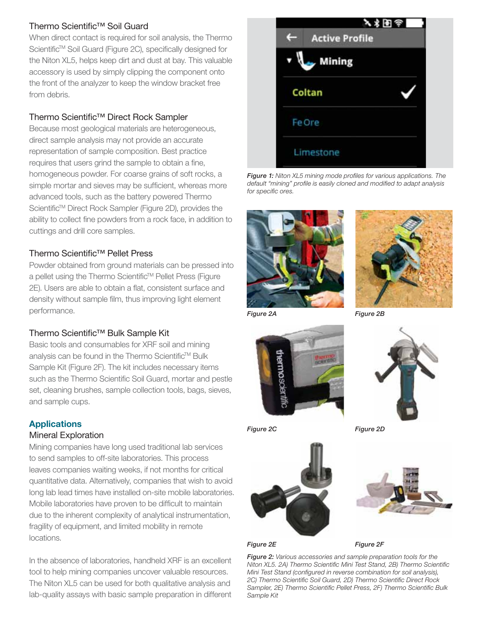#### Thermo Scientific™ Soil Guard

When direct contact is required for soil analysis, the Thermo Scientific<sup>™</sup> Soil Guard (Figure 2C), specifically designed for the Niton XL5, helps keep dirt and dust at bay. This valuable accessory is used by simply clipping the component onto the front of the analyzer to keep the window bracket free from debris.

#### Thermo Scientific™ Direct Rock Sampler

Because most geological materials are heterogeneous, direct sample analysis may not provide an accurate representation of sample composition. Best practice requires that users grind the sample to obtain a fine, homogeneous powder. For coarse grains of soft rocks, a simple mortar and sieves may be sufficient, whereas more advanced tools, such as the battery powered Thermo Scientific<sup>™</sup> Direct Rock Sampler (Figure 2D), provides the ability to collect fine powders from a rock face, in addition to cuttings and drill core samples.

#### Thermo Scientific™ Pellet Press

Powder obtained from ground materials can be pressed into a pellet using the Thermo Scientific<sup>™</sup> Pellet Press (Figure 2E). Users are able to obtain a flat, consistent surface and density without sample film, thus improving light element performance.

#### Thermo Scientific™ Bulk Sample Kit

Basic tools and consumables for XRF soil and mining analysis can be found in the Thermo Scientific™ Bulk Sample Kit (Figure 2F). The kit includes necessary items such as the Thermo Scientific Soil Guard, mortar and pestle set, cleaning brushes, sample collection tools, bags, sieves, and sample cups.

#### **Applications**

#### Mineral Exploration

Mining companies have long used traditional lab services to send samples to off-site laboratories. This process leaves companies waiting weeks, if not months for critical quantitative data. Alternatively, companies that wish to avoid long lab lead times have installed on-site mobile laboratories. Mobile laboratories have proven to be difficult to maintain due to the inherent complexity of analytical instrumentation, fragility of equipment, and limited mobility in remote locations.

In the absence of laboratories, handheld XRF is an excellent tool to help mining companies uncover valuable resources. The Niton XL5 can be used for both qualitative analysis and lab-quality assays with basic sample preparation in different



**Figure 1:** Niton XL5 mining mode profiles for various applications. The default "mining" profile is easily cloned and modified to adapt analysis for specific ores.





Figure 2B







Figure 2E



 $\frac{1}{2}$ 

**Figure 2:** Various accessories and sample preparation tools for the<br>Niton XL5, 24) Thermo Scientific Mini Test Stand, 2B) Thermo Scien Niton XL5. 2A) Thermo Scientific Mini Test Stand, 2B) Thermo Scientific Mini Test Stand (configured in reverse combination for soil analysis), 2C) Thermo Scientific Soil Guard, 2D) Thermo Scientific Direct Rock Sampler, 2E) Thermo Scientific Pellet Press, 2F) Thermo Scientific Bulk Sample Kit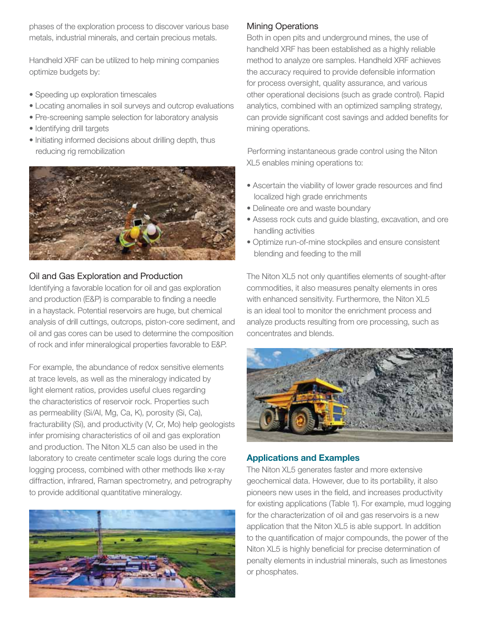phases of the exploration process to discover various base metals, industrial minerals, and certain precious metals.

Handheld XRF can be utilized to help mining companies optimize budgets by:

- Speeding up exploration timescales
- Locating anomalies in soil surveys and outcrop evaluations
- Pre-screening sample selection for laboratory analysis
- Identifying drill targets
- Initiating informed decisions about drilling depth, thus reducing rig remobilization



#### Oil and Gas Exploration and Production

Identifying a favorable location for oil and gas exploration and production (E&P) is comparable to finding a needle in a haystack. Potential reservoirs are huge, but chemical analysis of drill cuttings, outcrops, piston-core sediment, and oil and gas cores can be used to determine the composition of rock and infer mineralogical properties favorable to E&P.

For example, the abundance of redox sensitive elements at trace levels, as well as the mineralogy indicated by light element ratios, provides useful clues regarding the characteristics of reservoir rock. Properties such as permeability (Si/Al, Mg, Ca, K), porosity (Si, Ca), fracturability (Si), and productivity (V, Cr, Mo) help geologists infer promising characteristics of oil and gas exploration and production. The Niton XL5 can also be used in the laboratory to create centimeter scale logs during the core logging process, combined with other methods like x-ray diffraction, infrared, Raman spectrometry, and petrography to provide additional quantitative mineralogy.



#### Mining Operations

Both in open pits and underground mines, the use of handheld XRF has been established as a highly reliable method to analyze ore samples. Handheld XRF achieves the accuracy required to provide defensible information for process oversight, quality assurance, and various other operational decisions (such as grade control). Rapid analytics, combined with an optimized sampling strategy, can provide significant cost savings and added benefits for mining operations.

Performing instantaneous grade control using the Niton XL5 enables mining operations to:

- Ascertain the viability of lower grade resources and find localized high grade enrichments
- Delineate ore and waste boundary
- Assess rock cuts and guide blasting, excavation, and ore handling activities
- Optimize run-of-mine stockpiles and ensure consistent blending and feeding to the mill

The Niton XL5 not only quantifies elements of sought-after commodities, it also measures penalty elements in ores with enhanced sensitivity. Furthermore, the Niton XL5 is an ideal tool to monitor the enrichment process and analyze products resulting from ore processing, such as concentrates and blends.



#### **Applications and Examples**

The Niton XL5 generates faster and more extensive geochemical data. However, due to its portability, it also pioneers new uses in the field, and increases productivity for existing applications (Table 1). For example, mud logging for the characterization of oil and gas reservoirs is a new application that the Niton XL5 is able support. In addition to the quantification of major compounds, the power of the Niton XL5 is highly beneficial for precise determination of penalty elements in industrial minerals, such as limestones or phosphates.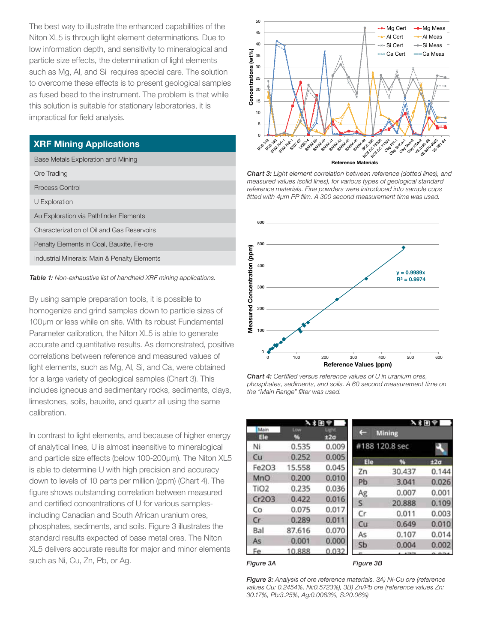The best way to illustrate the enhanced capabilities of the Niton XL5 is through light element determinations. Due to low information depth, and sensitivity to mineralogical and particle size effects, the determination of light elements such as Mg, Al, and Si requires special care. The solution to overcome these effects is to present geological samples as fused bead to the instrument. The problem is that while this solution is suitable for stationary laboratories, it is impractical for field analysis.

#### **XRF Mining Applications**

| Base Metals Exploration and Mining           |
|----------------------------------------------|
| Ore Trading                                  |
| Process Control                              |
| U Exploration                                |
| Au Exploration via Pathfinder Elements       |
| Characterization of Oil and Gas Reservoirs   |
| Penalty Elements in Coal, Bauxite, Fe-ore    |
| Industrial Minerals: Main & Penalty Elements |
|                                              |

Table 1: Non-exhaustive list of handheld XRF mining applications.

By using sample preparation tools, it is possible to homogenize and grind samples down to particle sizes of 100μm or less while on site. With its robust Fundamental Parameter calibration, the Niton XL5 is able to generate accurate and quantitative results. As demonstrated, positive correlations between reference and measured values of light elements, such as Mg, Al, Si, and Ca, were obtained for a large variety of geological samples (Chart 3). This includes igneous and sedimentary rocks, sediments, clays, limestones, soils, bauxite, and quartz all using the same calibration.

In contrast to light elements, and because of higher energy of analytical lines, U is almost insensitive to mineralogical and particle size effects (below 100-200μm). The Niton XL5 is able to determine U with high precision and accuracy down to levels of 10 parts per million (ppm) (Chart 4). The figure shows outstanding correlation between measured and certified concentrations of U for various samplesincluding Canadian and South African uranium ores, phosphates, sediments, and soils. Figure 3 illustrates the standard results expected of base metal ores. The Niton XL5 delivers accurate results for major and minor elements such as Ni, Cu, Zn, Pb, or Ag.



Chart 3: Light element correlation between reference (dotted lines), and measured values (solid lines), for various types of geological standard reference materials. Fine powders were introduced into sample cups fitted with 4μm PP film. A 300 second measurement time was used.



**Chart 4:** Certified versus reference values of U in uranium ores,<br>phosphates, sediments, and soils. A 60 second measurement time on the "Main Range" filter was used.

| 入名田宇             |          |                                | 入ま困学                    |               |                 |
|------------------|----------|--------------------------------|-------------------------|---------------|-----------------|
| Main<br>Ele      | Low<br>% | <b>Ught</b><br>±2 <sub>σ</sub> |                         | <b>Mining</b> |                 |
| Ni               | 0.535    | 0.009                          | #188 120.8 sec          |               |                 |
| Cu               | 0.252    | 0.005                          | Ele                     | 96            | ±2 <sub>σ</sub> |
| Fe2O3            | 15.558   | 0.045                          | Zn                      | 30.437        | 0.144           |
| MnO              | 0.200    | 0.010                          | Pb                      | 3.041         | 0.026           |
| TiO <sub>2</sub> | 0.235    | 0.036                          | Ag                      | 0.007         | 0.001           |
| Cr2O3            | 0.422    | 0.016                          | $\overline{\mathsf{S}}$ | 20,888        | 0.109           |
| Co               | 0.075    | 0.017                          | Cr                      | 0.011         | 0.003           |
| Cr               | 0.289    | 0.011                          | Cu                      | 0.649         | 0.010           |
| Bal              | 87.616   | 0.070                          |                         |               |                 |
| As:              | 0.001    | 0.000                          | As                      | 0.107         | 0.014           |
| Fe               | 10.888   | 0.032                          | Sb                      | 0.004         | 0.002           |

 $\mathcal{S}$  and  $\mathcal{S}$ 

Figure 3: Analysis of ore reference materials. 3A) Ni-Cu ore (reference values Cu: 0.2454%, Ni:0.5723%), 3B) Zn/Pb ore (reference values Zn: 30.17%, Pb:3.25%, Ag:0.0063%, S:20.06%)